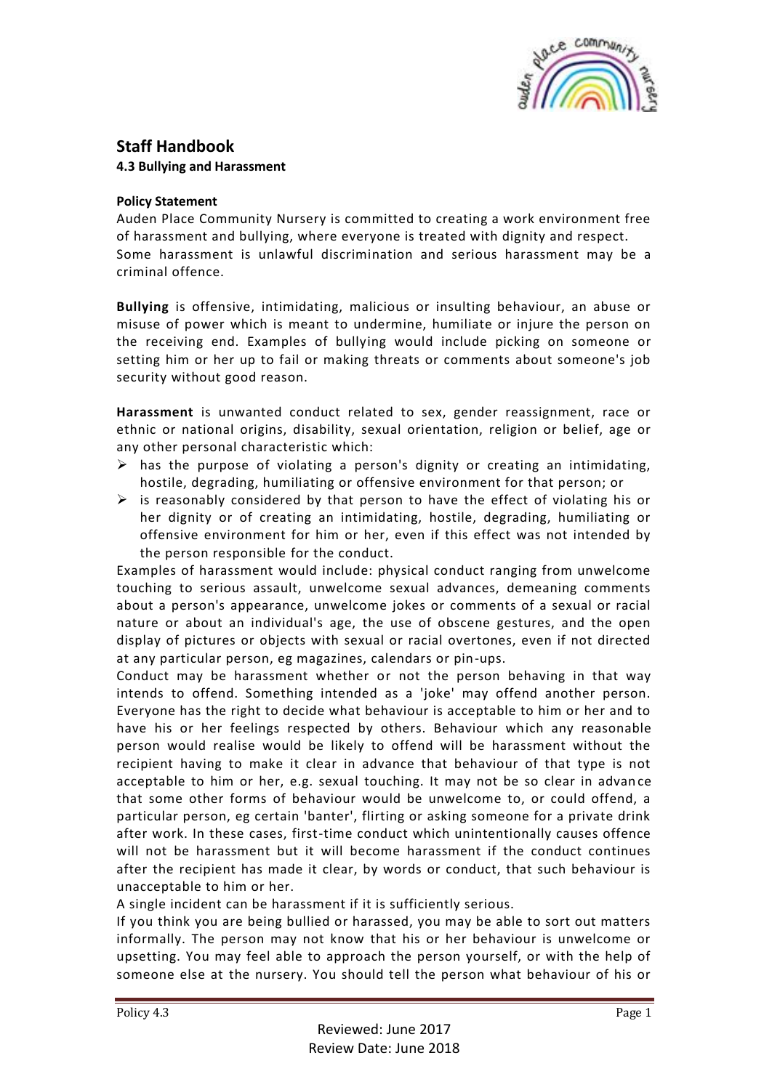

## **Staff Handbook 4.3 Bullying and Harassment**

## **Policy Statement**

Auden Place Community Nursery is committed to creating a work environment free of harassment and bullying, where everyone is treated with dignity and respect. Some harassment is unlawful discrimination and serious harassment may be a criminal offence.

**Bullying** is offensive, intimidating, malicious or insulting behaviour, an abuse or misuse of power which is meant to undermine, humiliate or injure the person on the receiving end. Examples of bullying would include picking on someone or setting him or her up to fail or making threats or comments about someone's job security without good reason.

**Harassment** is unwanted conduct related to sex, gender reassignment, race or ethnic or national origins, disability, sexual orientation, religion or belief, age or any other personal characteristic which:

- $\triangleright$  has the purpose of violating a person's dignity or creating an intimidating, hostile, degrading, humiliating or offensive environment for that person; or
- $\triangleright$  is reasonably considered by that person to have the effect of violating his or her dignity or of creating an intimidating, hostile, degrading, humiliating or offensive environment for him or her, even if this effect was not intended by the person responsible for the conduct.

Examples of harassment would include: physical conduct ranging from unwelcome touching to serious assault, unwelcome sexual advances, demeaning comments about a person's appearance, unwelcome jokes or comments of a sexual or racial nature or about an individual's age, the use of obscene gestures, and the open display of pictures or objects with sexual or racial overtones, even if not directed at any particular person, eg magazines, calendars or pin-ups.

Conduct may be harassment whether or not the person behaving in that way intends to offend. Something intended as a 'joke' may offend another person. Everyone has the right to decide what behaviour is acceptable to him or her and to have his or her feelings respected by others. Behaviour which any reasonable person would realise would be likely to offend will be harassment without the recipient having to make it clear in advance that behaviour of that type is not acceptable to him or her, e.g. sexual touching. It may not be so clear in advan ce that some other forms of behaviour would be unwelcome to, or could offend, a particular person, eg certain 'banter', flirting or asking someone for a private drink after work. In these cases, first-time conduct which unintentionally causes offence will not be harassment but it will become harassment if the conduct continues after the recipient has made it clear, by words or conduct, that such behaviour is unacceptable to him or her.

A single incident can be harassment if it is sufficiently serious.

If you think you are being bullied or harassed, you may be able to sort out matters informally. The person may not know that his or her behaviour is unwelcome or upsetting. You may feel able to approach the person yourself, or with the help of someone else at the nursery. You should tell the person what behaviour of his or